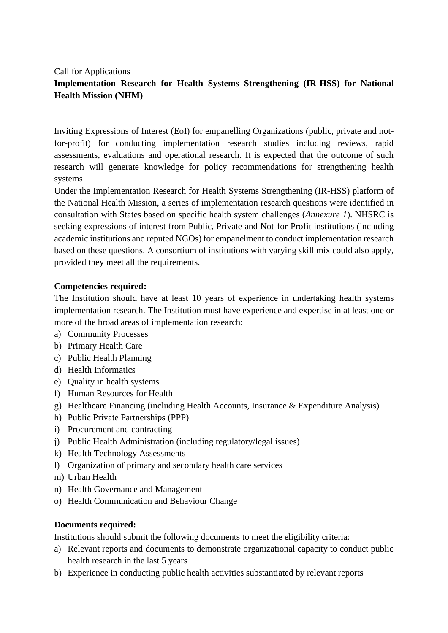Call for Applications

# **Implementation Research for Health Systems Strengthening (IR-HSS) for National Health Mission (NHM)**

Inviting Expressions of Interest (EoI) for empanelling Organizations (public, private and notfor-profit) for conducting implementation research studies including reviews, rapid assessments, evaluations and operational research. It is expected that the outcome of such research will generate knowledge for policy recommendations for strengthening health systems.

Under the Implementation Research for Health Systems Strengthening (IR-HSS) platform of the National Health Mission, a series of implementation research questions were identified in consultation with States based on specific health system challenges (*Annexure 1*). NHSRC is seeking expressions of interest from Public, Private and Not-for-Profit institutions (including academic institutions and reputed NGOs) for empanelment to conduct implementation research based on these questions. A consortium of institutions with varying skill mix could also apply, provided they meet all the requirements.

#### **Competencies required:**

The Institution should have at least 10 years of experience in undertaking health systems implementation research. The Institution must have experience and expertise in at least one or more of the broad areas of implementation research:

- a) Community Processes
- b) Primary Health Care
- c) Public Health Planning
- d) Health Informatics
- e) Quality in health systems
- f) Human Resources for Health
- g) Healthcare Financing (including Health Accounts, Insurance & Expenditure Analysis)
- h) Public Private Partnerships (PPP)
- i) Procurement and contracting
- j) Public Health Administration (including regulatory/legal issues)
- k) Health Technology Assessments
- l) Organization of primary and secondary health care services
- m) Urban Health
- n) Health Governance and Management
- o) Health Communication and Behaviour Change

### **Documents required:**

Institutions should submit the following documents to meet the eligibility criteria:

- a) Relevant reports and documents to demonstrate organizational capacity to conduct public health research in the last 5 years
- b) Experience in conducting public health activities substantiated by relevant reports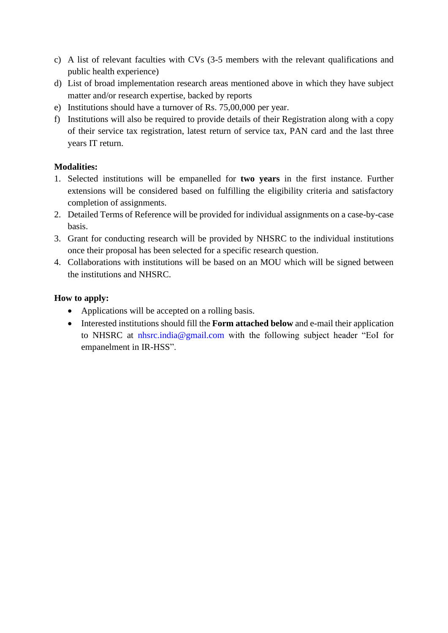- c) A list of relevant faculties with CVs (3-5 members with the relevant qualifications and public health experience)
- d) List of broad implementation research areas mentioned above in which they have subject matter and/or research expertise, backed by reports
- e) Institutions should have a turnover of Rs. 75,00,000 per year.
- f) Institutions will also be required to provide details of their Registration along with a copy of their service tax registration, latest return of service tax, PAN card and the last three years IT return.

# **Modalities:**

- 1. Selected institutions will be empanelled for **two years** in the first instance. Further extensions will be considered based on fulfilling the eligibility criteria and satisfactory completion of assignments.
- 2. Detailed Terms of Reference will be provided for individual assignments on a case-by-case basis.
- 3. Grant for conducting research will be provided by NHSRC to the individual institutions once their proposal has been selected for a specific research question.
- 4. Collaborations with institutions will be based on an MOU which will be signed between the institutions and NHSRC.

# **How to apply:**

- Applications will be accepted on a rolling basis.
- Interested institutions should fill the **Form attached below** and e-mail their application to NHSRC at nhsrc.india@gmail.com with the following subject header "EoI for empanelment in IR-HSS".